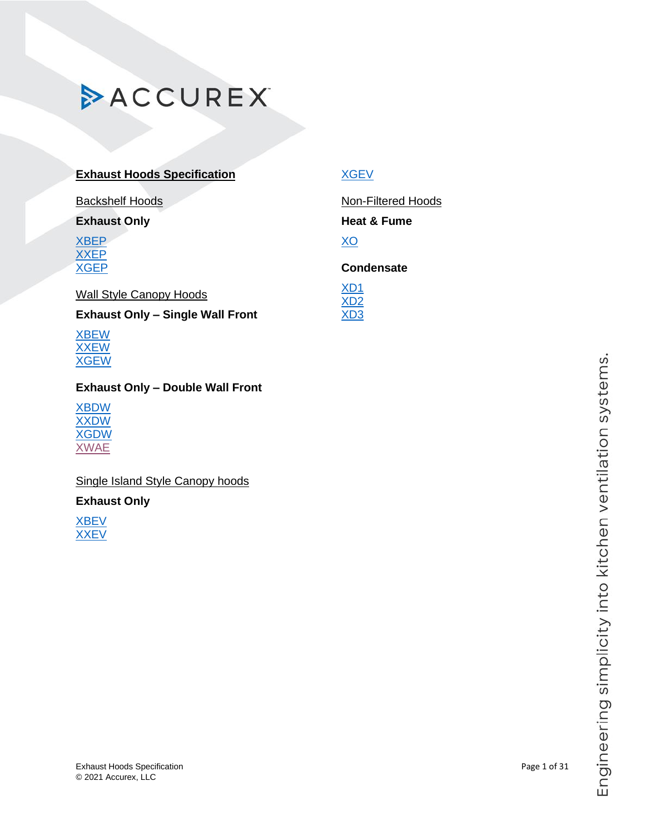### **Exhaust Hoods Specification**

Backshelf Hoods

### **Exhaust Only**

[XBEP](#page-0-0) [XXEP](#page-2-0) [XGEP](#page-5-0)

### Wall Style Canopy Hoods

**Exhaust Only – Single Wall Front**

[XBEW](#page-7-0) [XXEW](#page-8-0) [XGEW](#page-11-0)

### **Exhaust Only – Double Wall Front**

[XBDW](#page-12-0) [XXDW](#page-14-0) [XGDW](#page-17-0) [XWAE](#page-19-0)

## Single Island Style Canopy hoods

### **Exhaust Only**

<span id="page-0-0"></span>[XBEV](#page-18-0) **[XXEV](#page-22-0)** 

## [XGEV](#page-25-0)

Non-Filtered Hoods

## **Heat & Fume**

[XO](#page-26-0)

### **Condensate**

[XD1](#page-28-0) [XD2](#page-29-0) [XD3](#page-30-0)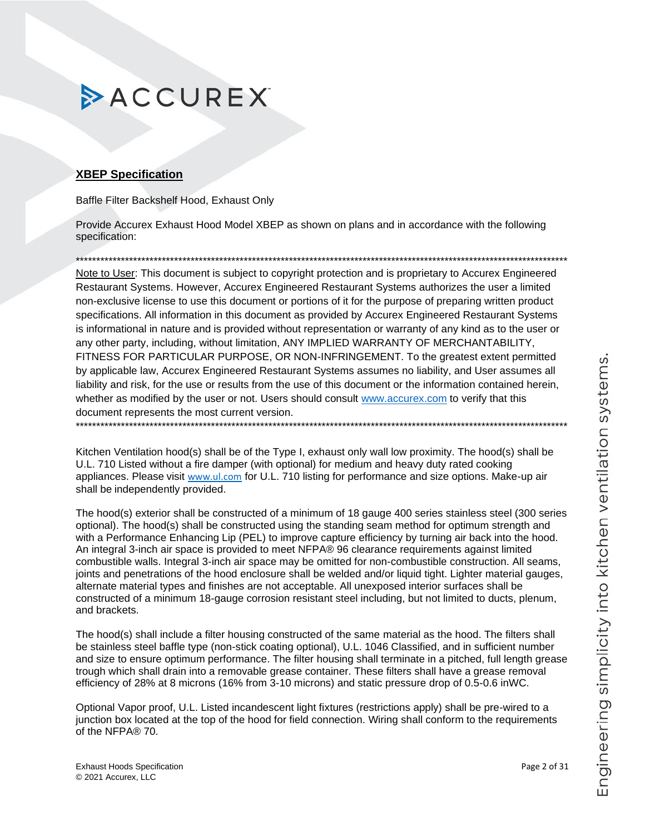### **XBEP Specification**

Baffle Filter Backshelf Hood, Exhaust Only

Provide Accurex Exhaust Hood Model XBEP as shown on plans and in accordance with the following specification:

Note to User: This document is subject to copyright protection and is proprietary to Accurex Engineered Restaurant Systems. However, Accurex Engineered Restaurant Systems authorizes the user a limited non-exclusive license to use this document or portions of it for the purpose of preparing written product specifications. All information in this document as provided by Accurex Engineered Restaurant Systems is informational in nature and is provided without representation or warranty of any kind as to the user or any other party, including, without limitation, ANY IMPLIED WARRANTY OF MERCHANTABILITY, FITNESS FOR PARTICULAR PURPOSE, OR NON-INFRINGEMENT. To the greatest extent permitted by applicable law, Accurex Engineered Restaurant Systems assumes no liability, and User assumes all liability and risk, for the use or results from the use of this document or the information contained herein, whether as modified by the user or not. Users should consult www.accurex.com to verify that this document represents the most current version. 

Kitchen Ventilation hood(s) shall be of the Type I, exhaust only wall low proximity. The hood(s) shall be U.L. 710 Listed without a fire damper (with optional) for medium and heavy duty rated cooking appliances. Please visit www.ul.com for U.L. 710 listing for performance and size options. Make-up air shall be independently provided.

The hood(s) exterior shall be constructed of a minimum of 18 gauge 400 series stainless steel (300 series optional). The hood(s) shall be constructed using the standing seam method for optimum strength and with a Performance Enhancing Lip (PEL) to improve capture efficiency by turning air back into the hood. An integral 3-inch air space is provided to meet NFPA® 96 clearance requirements against limited combustible walls. Integral 3-inch air space may be omitted for non-combustible construction. All seams, joints and penetrations of the hood enclosure shall be welded and/or liquid tight. Lighter material gauges, alternate material types and finishes are not acceptable. All unexposed interior surfaces shall be constructed of a minimum 18-gauge corrosion resistant steel including, but not limited to ducts, plenum, and brackets.

The hood(s) shall include a filter housing constructed of the same material as the hood. The filters shall be stainless steel baffle type (non-stick coating optional), U.L. 1046 Classified, and in sufficient number and size to ensure optimum performance. The filter housing shall terminate in a pitched, full length grease trough which shall drain into a removable grease container. These filters shall have a grease removal efficiency of 28% at 8 microns (16% from 3-10 microns) and static pressure drop of 0.5-0.6 in WC.

Optional Vapor proof, U.L. Listed incandescent light fixtures (restrictions apply) shall be pre-wired to a junction box located at the top of the hood for field connection. Wiring shall conform to the requirements of the NFPA® 70.

Page 2 of 31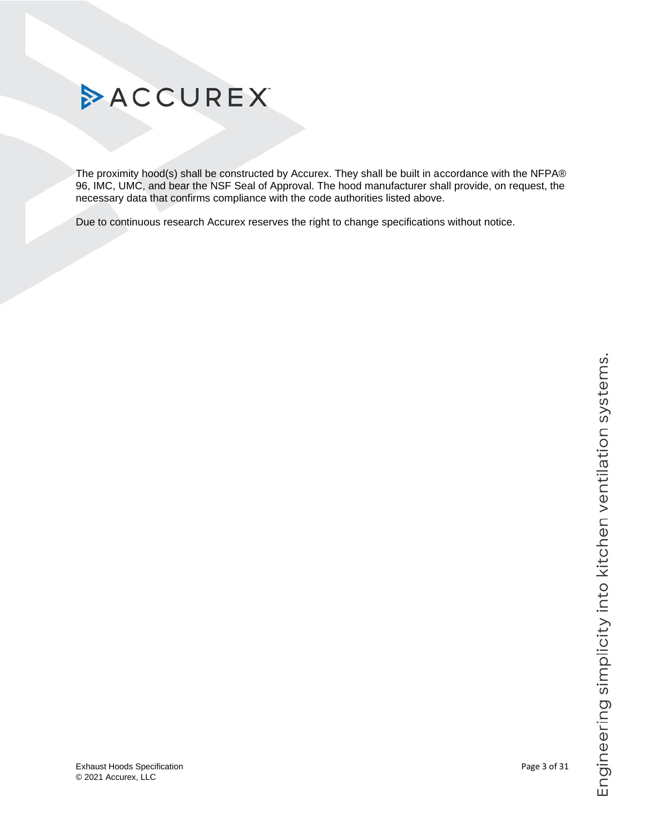

© 2021 Accurex, LLC

### <span id="page-2-0"></span>Exhaust Hoods Specification Page 3 of 31

# **ACCUREX**

The proximity hood(s) shall be constructed by Accurex. They shall be built in accordance with the NFPA® 96, IMC, UMC, and bear the NSF Seal of Approval. The hood manufacturer shall provide, on request, the necessary data that confirms compliance with the code authorities listed above.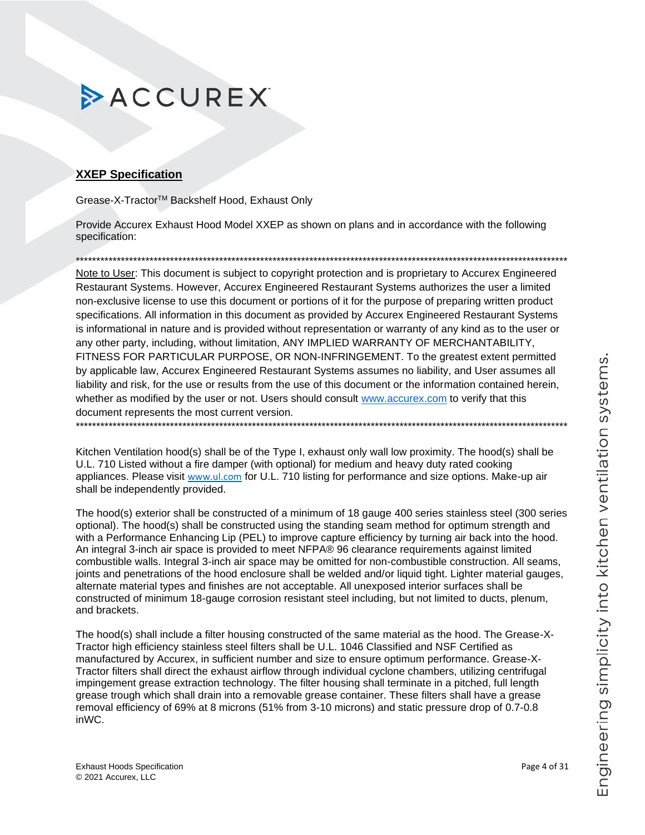### **XXEP Specification**

Grease-X-Tractor™ Backshelf Hood, Exhaust Only

Provide Accurex Exhaust Hood Model XXEP as shown on plans and in accordance with the following specification:

Note to User: This document is subject to copyright protection and is proprietary to Accurex Engineered Restaurant Systems. However, Accurex Engineered Restaurant Systems authorizes the user a limited non-exclusive license to use this document or portions of it for the purpose of preparing written product specifications. All information in this document as provided by Accurex Engineered Restaurant Systems is informational in nature and is provided without representation or warranty of any kind as to the user or any other party, including, without limitation, ANY IMPLIED WARRANTY OF MERCHANTABILITY, FITNESS FOR PARTICULAR PURPOSE, OR NON-INFRINGEMENT. To the greatest extent permitted by applicable law, Accurex Engineered Restaurant Systems assumes no liability, and User assumes all liability and risk, for the use or results from the use of this document or the information contained herein, whether as modified by the user or not. Users should consult www.accurex.com to verify that this document represents the most current version. 

Kitchen Ventilation hood(s) shall be of the Type I, exhaust only wall low proximity. The hood(s) shall be U.L. 710 Listed without a fire damper (with optional) for medium and heavy duty rated cooking appliances. Please visit www.ul.com for U.L. 710 listing for performance and size options. Make-up air shall be independently provided.

The hood(s) exterior shall be constructed of a minimum of 18 gauge 400 series stainless steel (300 series optional). The hood(s) shall be constructed using the standing seam method for optimum strength and with a Performance Enhancing Lip (PEL) to improve capture efficiency by turning air back into the hood. An integral 3-inch air space is provided to meet NFPA® 96 clearance requirements against limited combustible walls. Integral 3-inch air space may be omitted for non-combustible construction. All seams, joints and penetrations of the hood enclosure shall be welded and/or liquid tight. Lighter material gauges, alternate material types and finishes are not acceptable. All unexposed interior surfaces shall be constructed of minimum 18-gauge corrosion resistant steel including, but not limited to ducts, plenum, and brackets.

The hood(s) shall include a filter housing constructed of the same material as the hood. The Grease-X-Tractor high efficiency stainless steel filters shall be U.L. 1046 Classified and NSF Certified as manufactured by Accurex, in sufficient number and size to ensure optimum performance. Grease-X-Tractor filters shall direct the exhaust airflow through individual cyclone chambers, utilizing centrifugal impingement grease extraction technology. The filter housing shall terminate in a pitched, full length grease trough which shall drain into a removable grease container. These filters shall have a grease removal efficiency of 69% at 8 microns (51% from 3-10 microns) and static pressure drop of 0.7-0.8 inWC.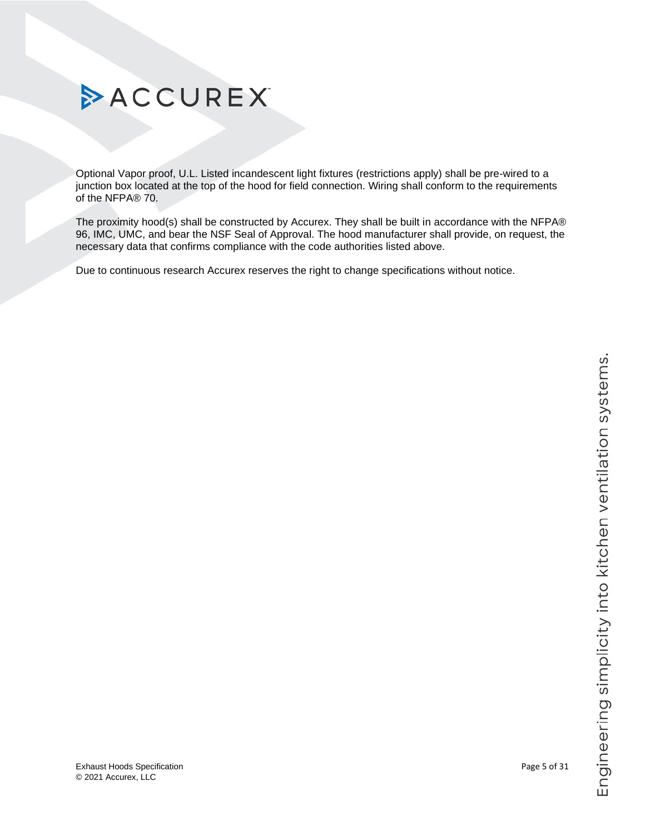

Optional Vapor proof, U.L. Listed incandescent light fixtures (restrictions apply) shall be pre-wired to a junction box located at the top of the hood for field connection. Wiring shall conform to the requirements of the NFPA® 70.

The proximity hood(s) shall be constructed by Accurex. They shall be built in accordance with the NFPA® 96, IMC, UMC, and bear the NSF Seal of Approval. The hood manufacturer shall provide, on request, the necessary data that confirms compliance with the code authorities listed above.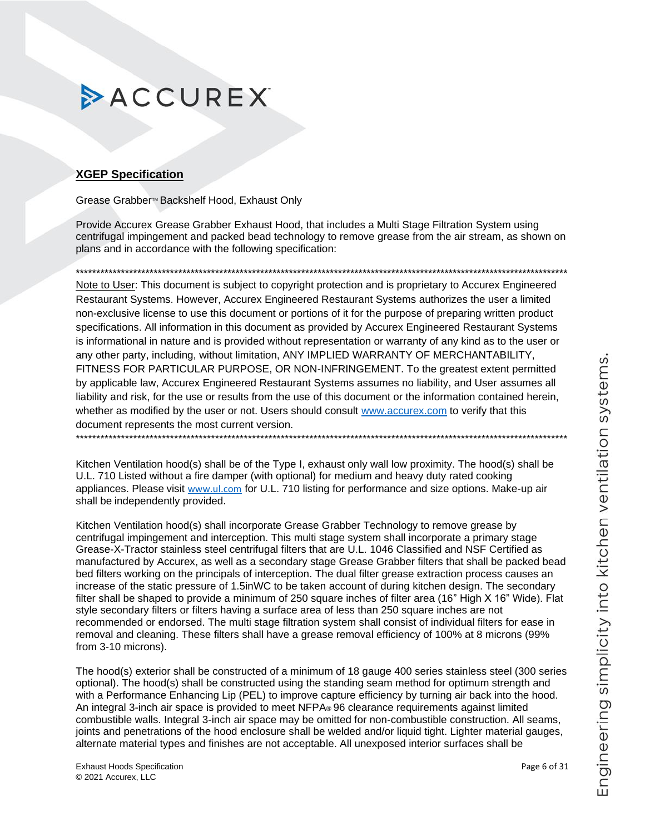### <span id="page-5-0"></span>**XGEP Specification**

Grease Grabber<sup>™</sup> Backshelf Hood, Exhaust Only

Provide Accurex Grease Grabber Exhaust Hood, that includes a Multi Stage Filtration System using centrifugal impingement and packed bead technology to remove grease from the air stream, as shown on plans and in accordance with the following specification:

Note to User: This document is subject to copyright protection and is proprietary to Accurex Engineered Restaurant Systems. However, Accurex Engineered Restaurant Systems authorizes the user a limited non-exclusive license to use this document or portions of it for the purpose of preparing written product specifications. All information in this document as provided by Accurex Engineered Restaurant Systems is informational in nature and is provided without representation or warranty of any kind as to the user or any other party, including, without limitation, ANY IMPLIED WARRANTY OF MERCHANTABILITY, FITNESS FOR PARTICULAR PURPOSE, OR NON-INFRINGEMENT. To the greatest extent permitted by applicable law, Accurex Engineered Restaurant Systems assumes no liability, and User assumes all liability and risk, for the use or results from the use of this document or the information contained herein, whether as modified by the user or not. Users should consult www.accurex.com to verify that this document represents the most current version. 

Kitchen Ventilation hood(s) shall be of the Type I, exhaust only wall low proximity. The hood(s) shall be U.L. 710 Listed without a fire damper (with optional) for medium and heavy duty rated cooking appliances. Please visit www.ul.com for U.L. 710 listing for performance and size options. Make-up air shall be independently provided.

Kitchen Ventilation hood(s) shall incorporate Grease Grabber Technology to remove grease by centrifugal impingement and interception. This multi stage system shall incorporate a primary stage Grease-X-Tractor stainless steel centrifugal filters that are U.L. 1046 Classified and NSF Certified as manufactured by Accurex, as well as a secondary stage Grease Grabber filters that shall be packed bead bed filters working on the principals of interception. The dual filter grease extraction process causes an increase of the static pressure of 1.5inWC to be taken account of during kitchen design. The secondary filter shall be shaped to provide a minimum of 250 square inches of filter area (16" High X 16" Wide). Flat style secondary filters or filters having a surface area of less than 250 square inches are not recommended or endorsed. The multi stage filtration system shall consist of individual filters for ease in removal and cleaning. These filters shall have a grease removal efficiency of 100% at 8 microns (99%) from 3-10 microns).

The hood(s) exterior shall be constructed of a minimum of 18 gauge 400 series stainless steel (300 series optional). The hood(s) shall be constructed using the standing seam method for optimum strength and with a Performance Enhancing Lip (PEL) to improve capture efficiency by turning air back into the hood. An integral 3-inch air space is provided to meet NFPA® 96 clearance requirements against limited combustible walls. Integral 3-inch air space may be omitted for non-combustible construction. All seams, joints and penetrations of the hood enclosure shall be welded and/or liquid tight. Lighter material gauges, alternate material types and finishes are not acceptable. All unexposed interior surfaces shall be

Page 6 of 31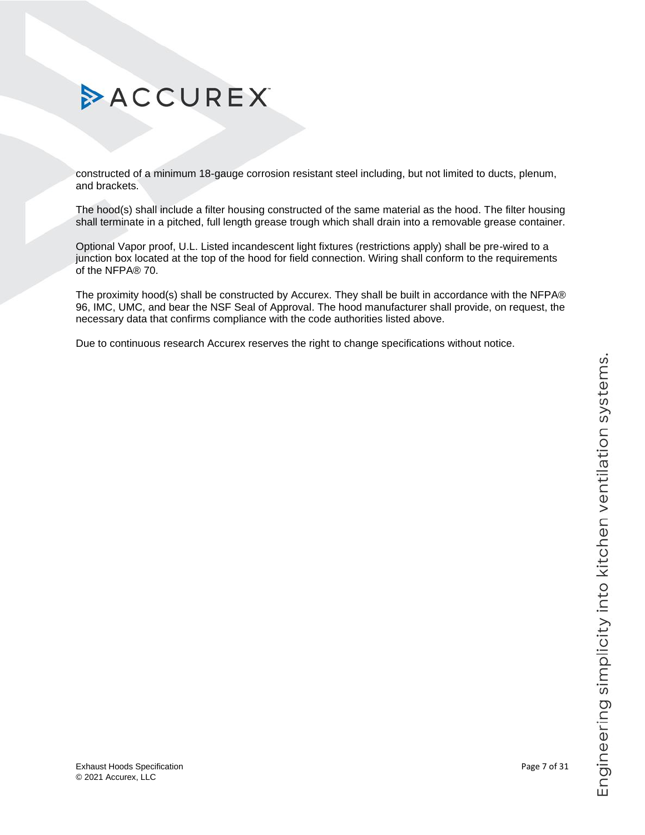# Engineering simplicity into kitchen ventilation systems.

# ACCUREX

constructed of a minimum 18-gauge corrosion resistant steel including, but not limited to ducts, plenum, and brackets.

The hood(s) shall include a filter housing constructed of the same material as the hood. The filter housing shall terminate in a pitched, full length grease trough which shall drain into a removable grease container.

Optional Vapor proof, U.L. Listed incandescent light fixtures (restrictions apply) shall be pre-wired to a junction box located at the top of the hood for field connection. Wiring shall conform to the requirements of the NFPA® 70.

The proximity hood(s) shall be constructed by Accurex. They shall be built in accordance with the NFPA® 96, IMC, UMC, and bear the NSF Seal of Approval. The hood manufacturer shall provide, on request, the necessary data that confirms compliance with the code authorities listed above.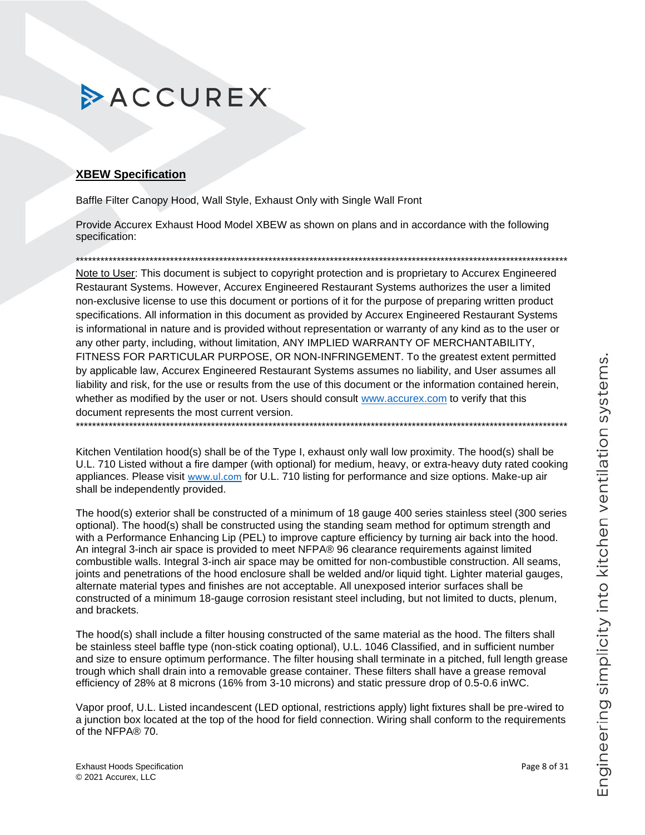### <span id="page-7-0"></span>**XBEW Specification**

Baffle Filter Canopy Hood, Wall Style, Exhaust Only with Single Wall Front

Provide Accurex Exhaust Hood Model XBEW as shown on plans and in accordance with the following specification:

Note to User: This document is subject to copyright protection and is proprietary to Accurex Engineered Restaurant Systems. However, Accurex Engineered Restaurant Systems authorizes the user a limited non-exclusive license to use this document or portions of it for the purpose of preparing written product specifications. All information in this document as provided by Accurex Engineered Restaurant Systems is informational in nature and is provided without representation or warranty of any kind as to the user or any other party, including, without limitation, ANY IMPLIED WARRANTY OF MERCHANTABILITY, FITNESS FOR PARTICULAR PURPOSE, OR NON-INFRINGEMENT. To the greatest extent permitted by applicable law, Accurex Engineered Restaurant Systems assumes no liability, and User assumes all liability and risk, for the use or results from the use of this document or the information contained herein, whether as modified by the user or not. Users should consult www.accurex.com to verify that this document represents the most current version. 

Kitchen Ventilation hood(s) shall be of the Type I, exhaust only wall low proximity. The hood(s) shall be U.L. 710 Listed without a fire damper (with optional) for medium, heavy, or extra-heavy duty rated cooking appliances. Please visit www.ul.com for U.L. 710 listing for performance and size options. Make-up air shall be independently provided.

The hood(s) exterior shall be constructed of a minimum of 18 gauge 400 series stainless steel (300 series optional). The hood(s) shall be constructed using the standing seam method for optimum strength and with a Performance Enhancing Lip (PEL) to improve capture efficiency by turning air back into the hood. An integral 3-inch air space is provided to meet NFPA® 96 clearance requirements against limited combustible walls. Integral 3-inch air space may be omitted for non-combustible construction. All seams, joints and penetrations of the hood enclosure shall be welded and/or liquid tight. Lighter material gauges, alternate material types and finishes are not acceptable. All unexposed interior surfaces shall be constructed of a minimum 18-gauge corrosion resistant steel including, but not limited to ducts, plenum, and brackets.

The hood(s) shall include a filter housing constructed of the same material as the hood. The filters shall be stainless steel baffle type (non-stick coating optional), U.L. 1046 Classified, and in sufficient number and size to ensure optimum performance. The filter housing shall terminate in a pitched, full length grease trough which shall drain into a removable grease container. These filters shall have a grease removal efficiency of 28% at 8 microns (16% from 3-10 microns) and static pressure drop of 0.5-0.6 in WC.

Vapor proof, U.L. Listed incandescent (LED optional, restrictions apply) light fixtures shall be pre-wired to a junction box located at the top of the hood for field connection. Wiring shall conform to the requirements of the NFPA® 70.

Page 8 of 31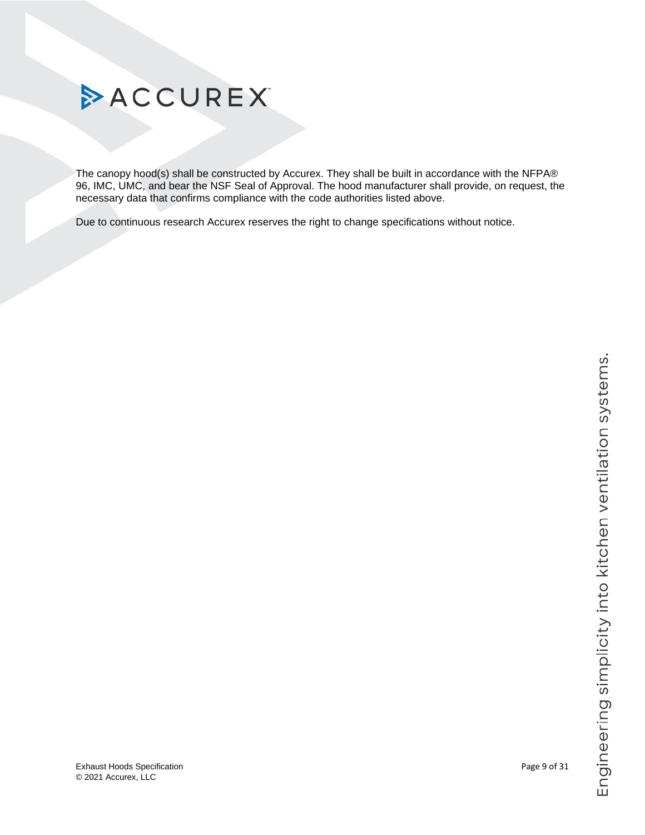

<span id="page-8-0"></span>The canopy hood(s) shall be constructed by Accurex. They shall be built in accordance with the NFPA® 96, IMC, UMC, and bear the NSF Seal of Approval. The hood manufacturer shall provide, on request, the necessary data that confirms compliance with the code authorities listed above.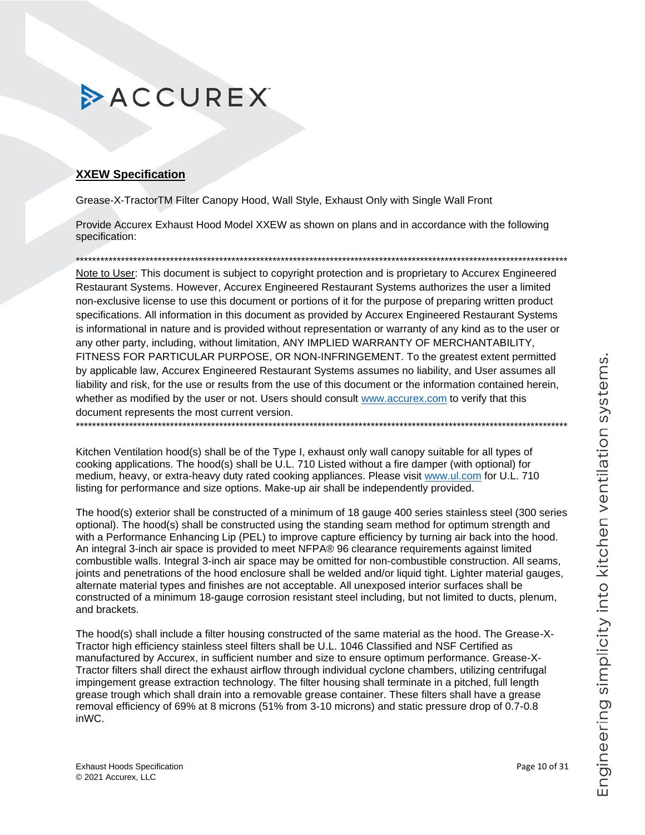### **XXEW Specification**

Grease-X-TractorTM Filter Canopy Hood, Wall Style, Exhaust Only with Single Wall Front

Provide Accurex Exhaust Hood Model XXEW as shown on plans and in accordance with the following specification:

Note to User: This document is subject to copyright protection and is proprietary to Accurex Engineered Restaurant Systems. However, Accurex Engineered Restaurant Systems authorizes the user a limited non-exclusive license to use this document or portions of it for the purpose of preparing written product specifications. All information in this document as provided by Accurex Engineered Restaurant Systems is informational in nature and is provided without representation or warranty of any kind as to the user or any other party, including, without limitation, ANY IMPLIED WARRANTY OF MERCHANTABILITY, FITNESS FOR PARTICULAR PURPOSE, OR NON-INFRINGEMENT. To the greatest extent permitted by applicable law, Accurex Engineered Restaurant Systems assumes no liability, and User assumes all liability and risk, for the use or results from the use of this document or the information contained herein, whether as modified by the user or not. Users should consult www.accurex.com to verify that this document represents the most current version. 

Kitchen Ventilation hood(s) shall be of the Type I, exhaust only wall canopy suitable for all types of cooking applications. The hood(s) shall be U.L. 710 Listed without a fire damper (with optional) for medium, heavy, or extra-heavy duty rated cooking appliances. Please visit www.ul.com for U.L. 710 listing for performance and size options. Make-up air shall be independently provided.

The hood(s) exterior shall be constructed of a minimum of 18 gauge 400 series stainless steel (300 series optional). The hood(s) shall be constructed using the standing seam method for optimum strength and with a Performance Enhancing Lip (PEL) to improve capture efficiency by turning air back into the hood. An integral 3-inch air space is provided to meet NFPA® 96 clearance requirements against limited combustible walls. Integral 3-inch air space may be omitted for non-combustible construction. All seams, joints and penetrations of the hood enclosure shall be welded and/or liquid tight. Lighter material gauges, alternate material types and finishes are not acceptable. All unexposed interior surfaces shall be constructed of a minimum 18-gauge corrosion resistant steel including, but not limited to ducts, plenum, and brackets.

The hood(s) shall include a filter housing constructed of the same material as the hood. The Grease-X-Tractor high efficiency stainless steel filters shall be U.L. 1046 Classified and NSF Certified as manufactured by Accurex, in sufficient number and size to ensure optimum performance. Grease-X-Tractor filters shall direct the exhaust airflow through individual cyclone chambers, utilizing centrifugal impingement grease extraction technology. The filter housing shall terminate in a pitched, full length grease trough which shall drain into a removable grease container. These filters shall have a grease removal efficiency of 69% at 8 microns (51% from 3-10 microns) and static pressure drop of 0.7-0.8 inWC.

Page 10 of 31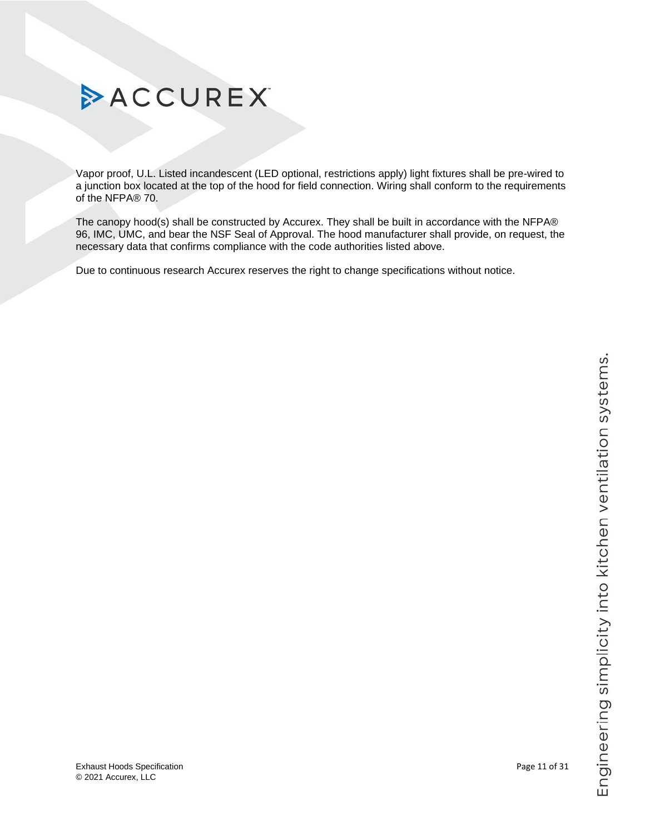Vapor proof, U.L. Listed incandescent (LED optional, restrictions apply) light fixtures shall be pre-wired to a junction box located at the top of the hood for field connection. Wiring shall conform to the requirements of the NFPA® 70.

The canopy hood(s) shall be constructed by Accurex. They shall be built in accordance with the NFPA® 96, IMC, UMC, and bear the NSF Seal of Approval. The hood manufacturer shall provide, on request, the necessary data that confirms compliance with the code authorities listed above.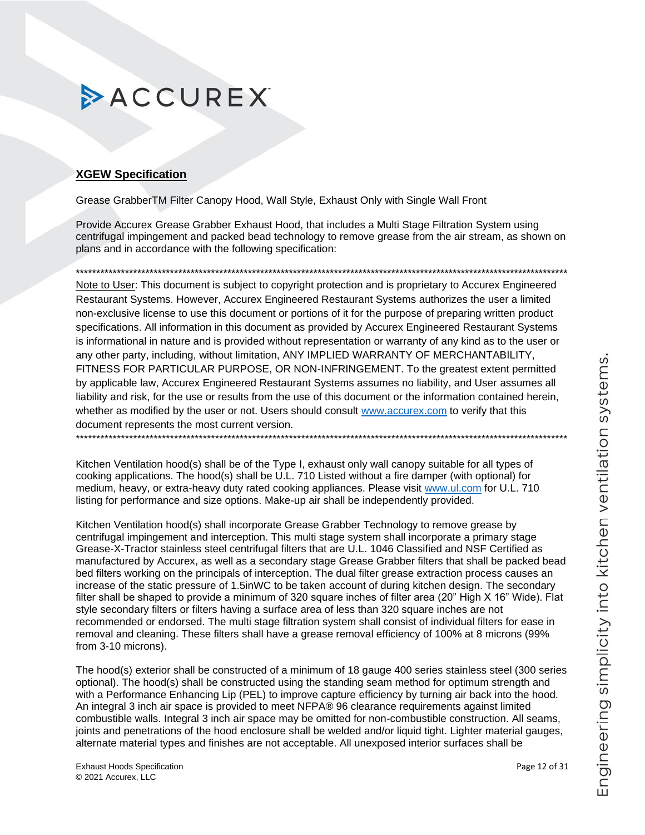### <span id="page-11-0"></span>**XGEW Specification**

Grease GrabberTM Filter Canopy Hood, Wall Style, Exhaust Only with Single Wall Front

Provide Accurex Grease Grabber Exhaust Hood, that includes a Multi Stage Filtration System using centrifugal impingement and packed bead technology to remove grease from the air stream, as shown on plans and in accordance with the following specification:

Note to User: This document is subject to copyright protection and is proprietary to Accurex Engineered Restaurant Systems. However, Accurex Engineered Restaurant Systems authorizes the user a limited non-exclusive license to use this document or portions of it for the purpose of preparing written product specifications. All information in this document as provided by Accurex Engineered Restaurant Systems is informational in nature and is provided without representation or warranty of any kind as to the user or any other party, including, without limitation, ANY IMPLIED WARRANTY OF MERCHANTABILITY, FITNESS FOR PARTICULAR PURPOSE, OR NON-INFRINGEMENT. To the greatest extent permitted by applicable law, Accurex Engineered Restaurant Systems assumes no liability, and User assumes all liability and risk, for the use or results from the use of this document or the information contained herein, whether as modified by the user or not. Users should consult www.accurex.com to verify that this document represents the most current version. 

Kitchen Ventilation hood(s) shall be of the Type I, exhaust only wall canopy suitable for all types of cooking applications. The hood(s) shall be U.L. 710 Listed without a fire damper (with optional) for medium, heavy, or extra-heavy duty rated cooking appliances. Please visit www.ul.com for U.L. 710 listing for performance and size options. Make-up air shall be independently provided.

Kitchen Ventilation hood(s) shall incorporate Grease Grabber Technology to remove grease by centrifugal impingement and interception. This multi stage system shall incorporate a primary stage Grease-X-Tractor stainless steel centrifugal filters that are U.L. 1046 Classified and NSF Certified as manufactured by Accurex, as well as a secondary stage Grease Grabber filters that shall be packed bead bed filters working on the principals of interception. The dual filter grease extraction process causes an increase of the static pressure of 1.5inWC to be taken account of during kitchen design. The secondary filter shall be shaped to provide a minimum of 320 square inches of filter area (20" High X 16" Wide). Flat style secondary filters or filters having a surface area of less than 320 square inches are not recommended or endorsed. The multi stage filtration system shall consist of individual filters for ease in removal and cleaning. These filters shall have a grease removal efficiency of 100% at 8 microns (99%) from 3-10 microns).

The hood(s) exterior shall be constructed of a minimum of 18 gauge 400 series stainless steel (300 series optional). The hood(s) shall be constructed using the standing seam method for optimum strength and with a Performance Enhancing Lip (PEL) to improve capture efficiency by turning air back into the hood. An integral 3 inch air space is provided to meet NFPA® 96 clearance requirements against limited combustible walls. Integral 3 inch air space may be omitted for non-combustible construction. All seams, joints and penetrations of the hood enclosure shall be welded and/or liquid tight. Lighter material gauges, alternate material types and finishes are not acceptable. All unexposed interior surfaces shall be

Page 12 of 31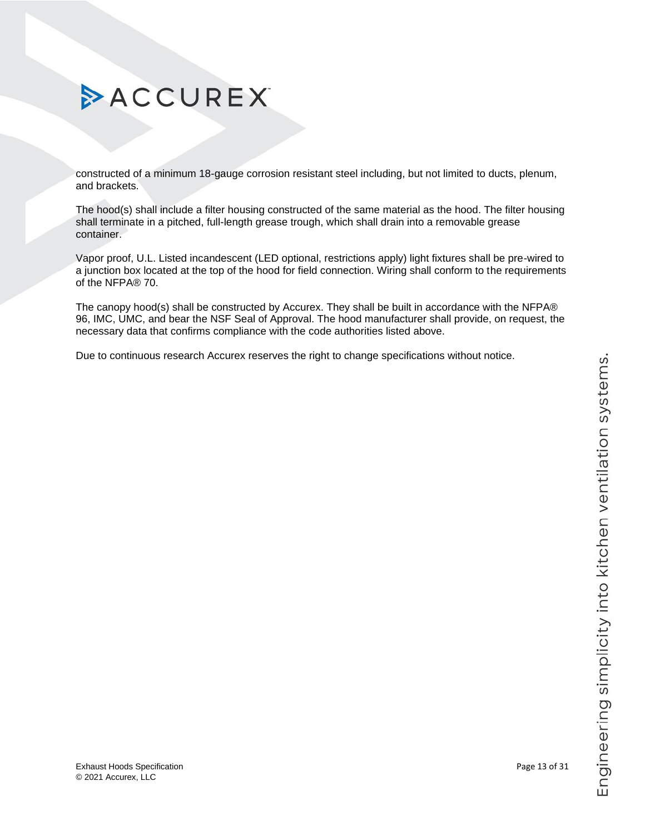# Engineering simplicity into kitchen ventilation systems.

# ACCUREX

constructed of a minimum 18-gauge corrosion resistant steel including, but not limited to ducts, plenum, and brackets.

The hood(s) shall include a filter housing constructed of the same material as the hood. The filter housing shall terminate in a pitched, full-length grease trough, which shall drain into a removable grease container.

Vapor proof, U.L. Listed incandescent (LED optional, restrictions apply) light fixtures shall be pre-wired to a junction box located at the top of the hood for field connection. Wiring shall conform to the requirements of the NFPA® 70.

<span id="page-12-0"></span>The canopy hood(s) shall be constructed by Accurex. They shall be built in accordance with the NFPA® 96, IMC, UMC, and bear the NSF Seal of Approval. The hood manufacturer shall provide, on request, the necessary data that confirms compliance with the code authorities listed above.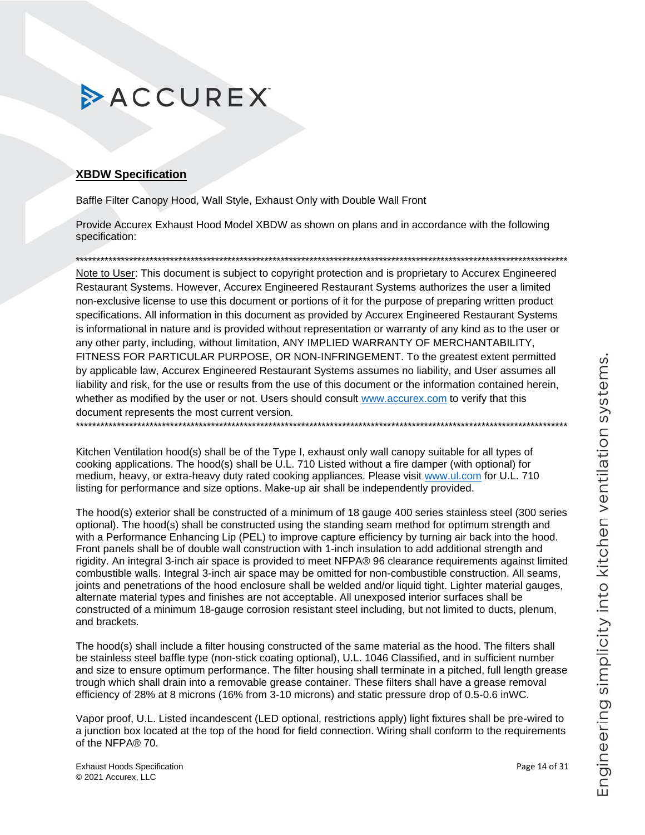### **XBDW Specification**

Baffle Filter Canopy Hood, Wall Style, Exhaust Only with Double Wall Front

Provide Accurex Exhaust Hood Model XBDW as shown on plans and in accordance with the following specification:

Note to User: This document is subject to copyright protection and is proprietary to Accurex Engineered Restaurant Systems. However, Accurex Engineered Restaurant Systems authorizes the user a limited non-exclusive license to use this document or portions of it for the purpose of preparing written product specifications. All information in this document as provided by Accurex Engineered Restaurant Systems is informational in nature and is provided without representation or warranty of any kind as to the user or any other party, including, without limitation, ANY IMPLIED WARRANTY OF MERCHANTABILITY, FITNESS FOR PARTICULAR PURPOSE, OR NON-INFRINGEMENT. To the greatest extent permitted by applicable law, Accurex Engineered Restaurant Systems assumes no liability, and User assumes all liability and risk, for the use or results from the use of this document or the information contained herein, whether as modified by the user or not. Users should consult www.accurex.com to verify that this document represents the most current version.

Kitchen Ventilation hood(s) shall be of the Type I, exhaust only wall canopy suitable for all types of cooking applications. The hood(s) shall be U.L. 710 Listed without a fire damper (with optional) for medium, heavy, or extra-heavy duty rated cooking appliances. Please visit www.ul.com for U.L. 710 listing for performance and size options. Make-up air shall be independently provided.

The hood(s) exterior shall be constructed of a minimum of 18 gauge 400 series stainless steel (300 series optional). The hood(s) shall be constructed using the standing seam method for optimum strength and with a Performance Enhancing Lip (PEL) to improve capture efficiency by turning air back into the hood. Front panels shall be of double wall construction with 1-inch insulation to add additional strength and rigidity. An integral 3-inch air space is provided to meet NFPA® 96 clearance requirements against limited combustible walls. Integral 3-inch air space may be omitted for non-combustible construction. All seams, joints and penetrations of the hood enclosure shall be welded and/or liquid tight. Lighter material gauges, alternate material types and finishes are not acceptable. All unexposed interior surfaces shall be constructed of a minimum 18-gauge corrosion resistant steel including, but not limited to ducts, plenum, and brackets.

The hood(s) shall include a filter housing constructed of the same material as the hood. The filters shall be stainless steel baffle type (non-stick coating optional), U.L. 1046 Classified, and in sufficient number and size to ensure optimum performance. The filter housing shall terminate in a pitched, full length grease trough which shall drain into a removable grease container. These filters shall have a grease removal efficiency of 28% at 8 microns (16% from 3-10 microns) and static pressure drop of 0.5-0.6 in WC.

Vapor proof, U.L. Listed incandescent (LED optional, restrictions apply) light fixtures shall be pre-wired to a junction box located at the top of the hood for field connection. Wiring shall conform to the requirements of the NFPA® 70.

**Exhaust Hoods Specification** © 2021 Accurex, LLC

Page 14 of 31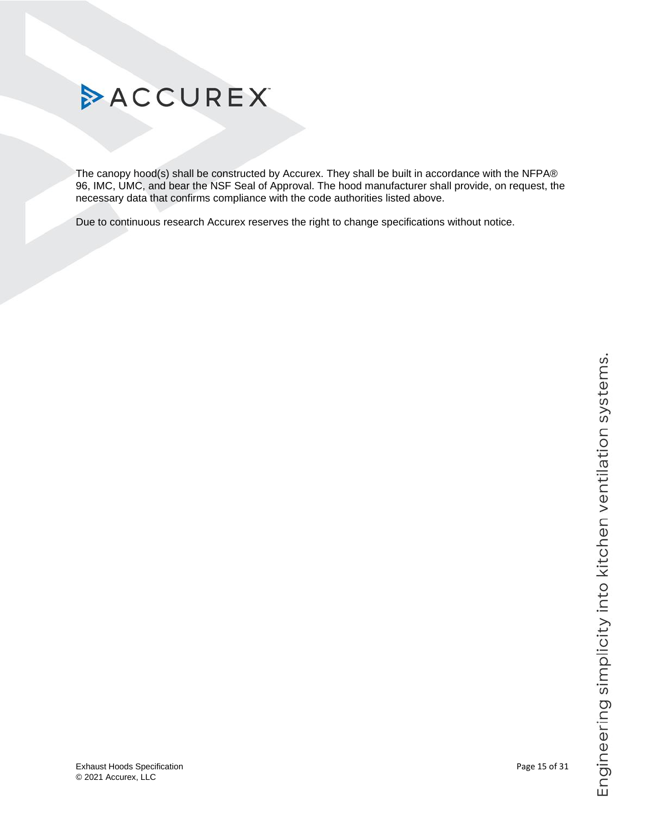

<span id="page-14-0"></span>The canopy hood(s) shall be constructed by Accurex. They shall be built in accordance with the NFPA® 96, IMC, UMC, and bear the NSF Seal of Approval. The hood manufacturer shall provide, on request, the necessary data that confirms compliance with the code authorities listed above.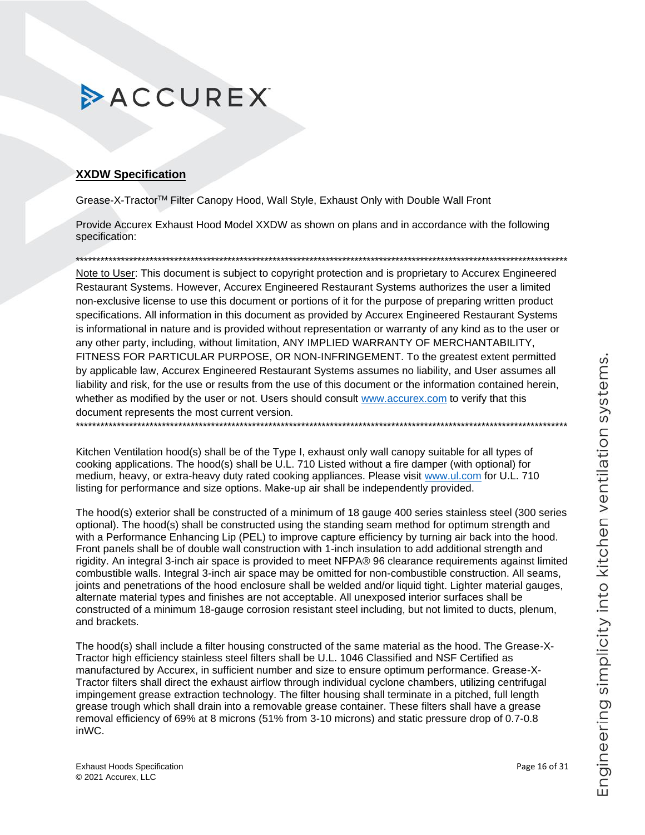### **XXDW Specification**

Grease-X-Tractor™ Filter Canopy Hood, Wall Style, Exhaust Only with Double Wall Front

Provide Accurex Exhaust Hood Model XXDW as shown on plans and in accordance with the following specification:

Note to User: This document is subject to copyright protection and is proprietary to Accurex Engineered Restaurant Systems. However, Accurex Engineered Restaurant Systems authorizes the user a limited non-exclusive license to use this document or portions of it for the purpose of preparing written product specifications. All information in this document as provided by Accurex Engineered Restaurant Systems is informational in nature and is provided without representation or warranty of any kind as to the user or any other party, including, without limitation, ANY IMPLIED WARRANTY OF MERCHANTABILITY, FITNESS FOR PARTICULAR PURPOSE, OR NON-INFRINGEMENT. To the greatest extent permitted by applicable law, Accurex Engineered Restaurant Systems assumes no liability, and User assumes all liability and risk, for the use or results from the use of this document or the information contained herein, whether as modified by the user or not. Users should consult www.accurex.com to verify that this document represents the most current version.

Kitchen Ventilation hood(s) shall be of the Type I, exhaust only wall canopy suitable for all types of cooking applications. The hood(s) shall be U.L. 710 Listed without a fire damper (with optional) for medium, heavy, or extra-heavy duty rated cooking appliances. Please visit www.ul.com for U.L. 710 listing for performance and size options. Make-up air shall be independently provided.

The hood(s) exterior shall be constructed of a minimum of 18 gauge 400 series stainless steel (300 series optional). The hood(s) shall be constructed using the standing seam method for optimum strength and with a Performance Enhancing Lip (PEL) to improve capture efficiency by turning air back into the hood. Front panels shall be of double wall construction with 1-inch insulation to add additional strength and rigidity. An integral 3-inch air space is provided to meet NFPA® 96 clearance requirements against limited combustible walls. Integral 3-inch air space may be omitted for non-combustible construction. All seams, joints and penetrations of the hood enclosure shall be welded and/or liquid tight. Lighter material gauges, alternate material types and finishes are not acceptable. All unexposed interior surfaces shall be constructed of a minimum 18-gauge corrosion resistant steel including, but not limited to ducts, plenum, and brackets.

The hood(s) shall include a filter housing constructed of the same material as the hood. The Grease-X-Tractor high efficiency stainless steel filters shall be U.L. 1046 Classified and NSF Certified as manufactured by Accurex, in sufficient number and size to ensure optimum performance. Grease-X-Tractor filters shall direct the exhaust airflow through individual cyclone chambers, utilizing centrifugal impingement grease extraction technology. The filter housing shall terminate in a pitched, full length grease trough which shall drain into a removable grease container. These filters shall have a grease removal efficiency of 69% at 8 microns (51% from 3-10 microns) and static pressure drop of 0.7-0.8 inWC.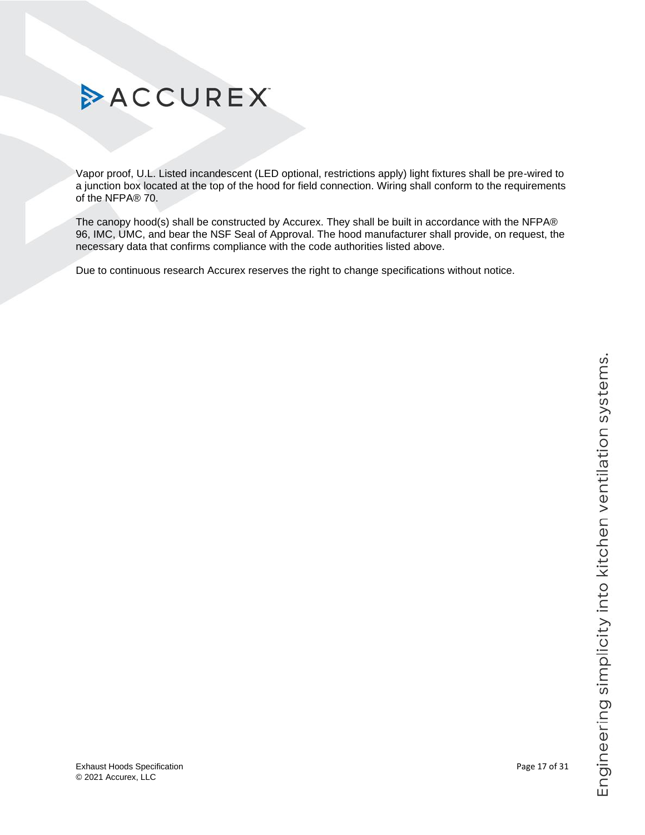Vapor proof, U.L. Listed incandescent (LED optional, restrictions apply) light fixtures shall be pre-wired to a junction box located at the top of the hood for field connection. Wiring shall conform to the requirements of the NFPA® 70.

The canopy hood(s) shall be constructed by Accurex. They shall be built in accordance with the NFPA® 96, IMC, UMC, and bear the NSF Seal of Approval. The hood manufacturer shall provide, on request, the necessary data that confirms compliance with the code authorities listed above.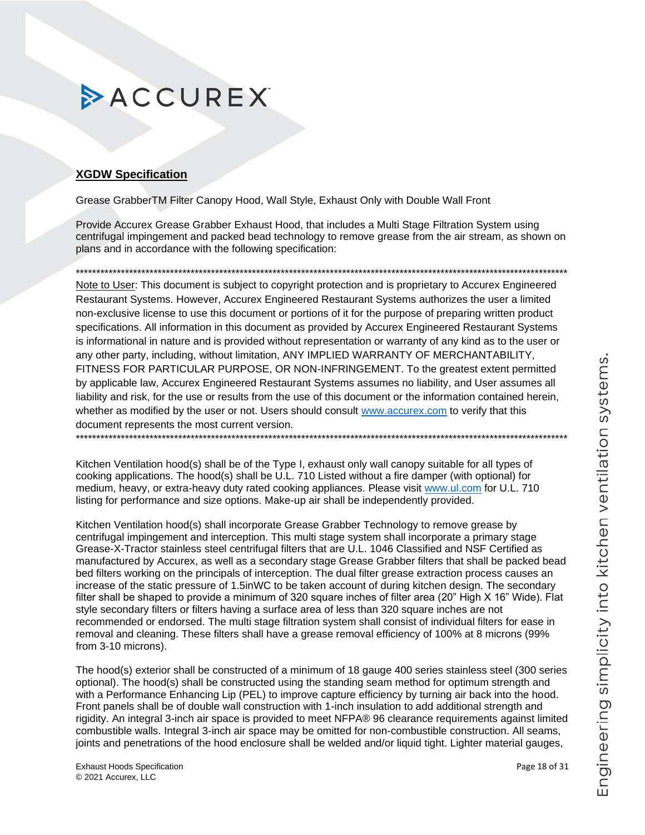### <span id="page-17-0"></span>**XGDW Specification**

Grease GrabberTM Filter Canopy Hood, Wall Style, Exhaust Only with Double Wall Front

Provide Accurex Grease Grabber Exhaust Hood, that includes a Multi Stage Filtration System using centrifugal impingement and packed bead technology to remove grease from the air stream, as shown on plans and in accordance with the following specification:

Note to User: This document is subject to copyright protection and is proprietary to Accurex Engineered Restaurant Systems. However, Accurex Engineered Restaurant Systems authorizes the user a limited non-exclusive license to use this document or portions of it for the purpose of preparing written product specifications. All information in this document as provided by Accurex Engineered Restaurant Systems is informational in nature and is provided without representation or warranty of any kind as to the user or any other party, including, without limitation, ANY IMPLIED WARRANTY OF MERCHANTABILITY, FITNESS FOR PARTICULAR PURPOSE, OR NON-INFRINGEMENT. To the greatest extent permitted by applicable law, Accurex Engineered Restaurant Systems assumes no liability, and User assumes all liability and risk, for the use or results from the use of this document or the information contained herein, whether as modified by the user or not. Users should consult www.accurex.com to verify that this document represents the most current version. 

Kitchen Ventilation hood(s) shall be of the Type I, exhaust only wall canopy suitable for all types of cooking applications. The hood(s) shall be U.L. 710 Listed without a fire damper (with optional) for medium, heavy, or extra-heavy duty rated cooking appliances. Please visit www.ul.com for U.L. 710 listing for performance and size options. Make-up air shall be independently provided.

Kitchen Ventilation hood(s) shall incorporate Grease Grabber Technology to remove grease by centrifugal impingement and interception. This multi stage system shall incorporate a primary stage Grease-X-Tractor stainless steel centrifugal filters that are U.L. 1046 Classified and NSF Certified as manufactured by Accurex, as well as a secondary stage Grease Grabber filters that shall be packed bead bed filters working on the principals of interception. The dual filter grease extraction process causes an increase of the static pressure of 1.5inWC to be taken account of during kitchen design. The secondary filter shall be shaped to provide a minimum of 320 square inches of filter area (20" High X 16" Wide). Flat style secondary filters or filters having a surface area of less than 320 square inches are not recommended or endorsed. The multi stage filtration system shall consist of individual filters for ease in removal and cleaning. These filters shall have a grease removal efficiency of 100% at 8 microns (99%) from 3-10 microns).

The hood(s) exterior shall be constructed of a minimum of 18 gauge 400 series stainless steel (300 series optional). The hood(s) shall be constructed using the standing seam method for optimum strength and with a Performance Enhancing Lip (PEL) to improve capture efficiency by turning air back into the hood. Front panels shall be of double wall construction with 1-inch insulation to add additional strength and rigidity. An integral 3-inch air space is provided to meet NFPA® 96 clearance requirements against limited combustible walls. Integral 3-inch air space may be omitted for non-combustible construction. All seams, joints and penetrations of the hood enclosure shall be welded and/or liquid tight. Lighter material gauges,

Page 18 of 31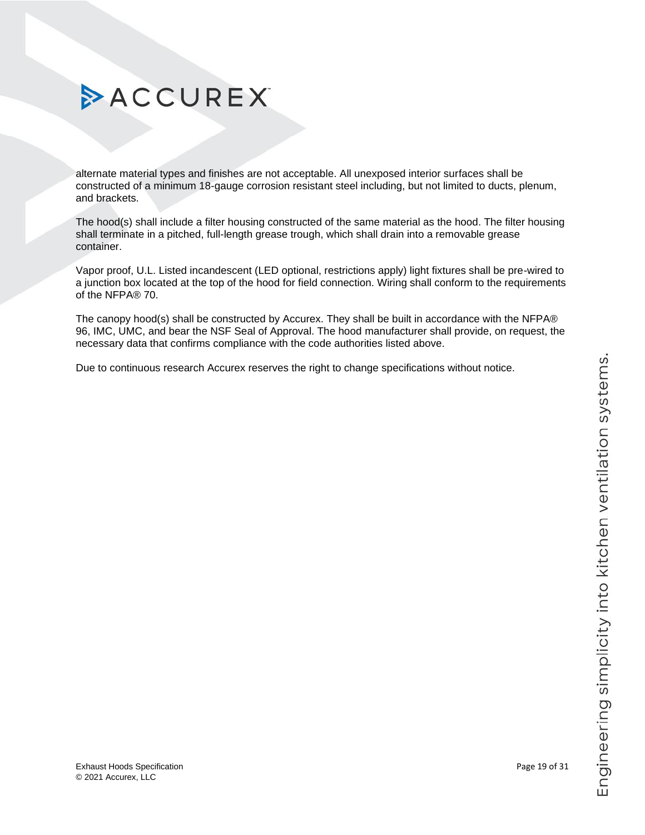# Engineering simplicity into kitchen ventilation systems.

# ACCUREX

alternate material types and finishes are not acceptable. All unexposed interior surfaces shall be constructed of a minimum 18-gauge corrosion resistant steel including, but not limited to ducts, plenum, and brackets.

The hood(s) shall include a filter housing constructed of the same material as the hood. The filter housing shall terminate in a pitched, full-length grease trough, which shall drain into a removable grease container.

Vapor proof, U.L. Listed incandescent (LED optional, restrictions apply) light fixtures shall be pre-wired to a junction box located at the top of the hood for field connection. Wiring shall conform to the requirements of the NFPA® 70.

<span id="page-18-0"></span>The canopy hood(s) shall be constructed by Accurex. They shall be built in accordance with the NFPA® 96, IMC, UMC, and bear the NSF Seal of Approval. The hood manufacturer shall provide, on request, the necessary data that confirms compliance with the code authorities listed above.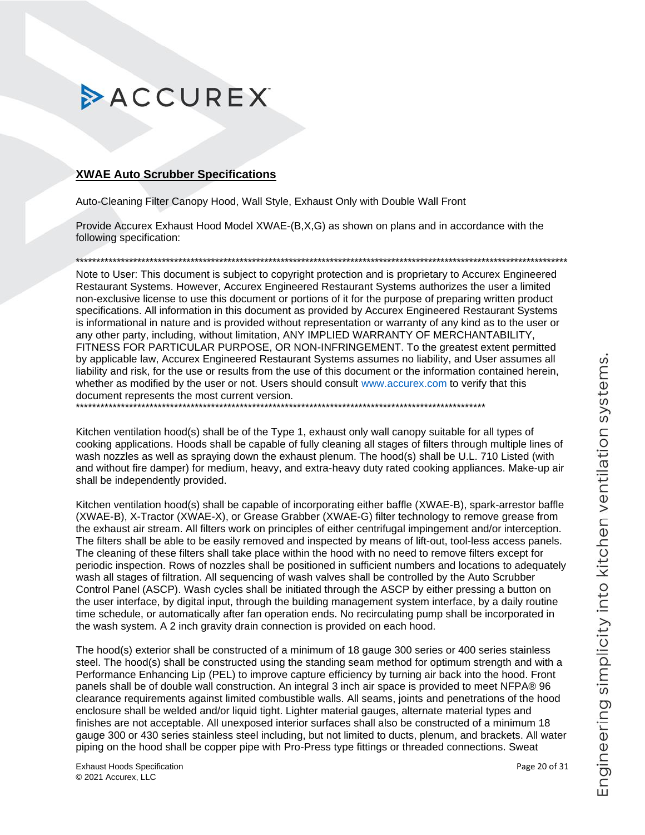### <span id="page-19-0"></span>**XWAE Auto Scrubber Specifications**

Auto-Cleaning Filter Canopy Hood, Wall Style, Exhaust Only with Double Wall Front

Provide Accurex Exhaust Hood Model XWAE-(B,X,G) as shown on plans and in accordance with the following specification:

Note to User: This document is subject to copyright protection and is proprietary to Accurex Engineered Restaurant Systems, However, Accurex Engineered Restaurant Systems authorizes the user a limited non-exclusive license to use this document or portions of it for the purpose of preparing written product specifications. All information in this document as provided by Accurex Engineered Restaurant Systems is informational in nature and is provided without representation or warranty of any kind as to the user or any other party, including, without limitation, ANY IMPLIED WARRANTY OF MERCHANTABILITY, FITNESS FOR PARTICULAR PURPOSE, OR NON-INFRINGEMENT. To the greatest extent permitted by applicable law, Accurex Engineered Restaurant Systems assumes no liability, and User assumes all liability and risk, for the use or results from the use of this document or the information contained herein, whether as modified by the user or not. Users should consult www.accurex.com to verify that this document represents the most current version.

Kitchen ventilation hood(s) shall be of the Type 1, exhaust only wall canopy suitable for all types of cooking applications. Hoods shall be capable of fully cleaning all stages of filters through multiple lines of wash nozzles as well as spraying down the exhaust plenum. The hood(s) shall be U.L. 710 Listed (with and without fire damper) for medium, heavy, and extra-heavy duty rated cooking appliances. Make-up air shall be independently provided.

Kitchen ventilation hood(s) shall be capable of incorporating either baffle (XWAE-B), spark-arrestor baffle (XWAE-B), X-Tractor (XWAE-X), or Grease Grabber (XWAE-G) filter technology to remove grease from the exhaust air stream. All filters work on principles of either centrifugal impingement and/or interception. The filters shall be able to be easily removed and inspected by means of lift-out, tool-less access panels. The cleaning of these filters shall take place within the hood with no need to remove filters except for periodic inspection. Rows of nozzles shall be positioned in sufficient numbers and locations to adequately wash all stages of filtration. All sequencing of wash valves shall be controlled by the Auto Scrubber Control Panel (ASCP). Wash cycles shall be initiated through the ASCP by either pressing a button on the user interface, by digital input, through the building management system interface, by a daily routine time schedule, or automatically after fan operation ends. No recirculating pump shall be incorporated in the wash system. A 2 inch gravity drain connection is provided on each hood.

The hood(s) exterior shall be constructed of a minimum of 18 gauge 300 series or 400 series stainless steel. The hood(s) shall be constructed using the standing seam method for optimum strength and with a Performance Enhancing Lip (PEL) to improve capture efficiency by turning air back into the hood. Front panels shall be of double wall construction. An integral 3 inch air space is provided to meet NFPA® 96 clearance requirements against limited combustible walls. All seams, joints and penetrations of the hood enclosure shall be welded and/or liquid tight. Lighter material gauges, alternate material types and finishes are not acceptable. All unexposed interior surfaces shall also be constructed of a minimum 18 gauge 300 or 430 series stainless steel including, but not limited to ducts, plenum, and brackets. All water piping on the hood shall be copper pipe with Pro-Press type fittings or threaded connections. Sweat

**Exhaust Hoods Specification** © 2021 Accurex, LLC

Page 20 of 31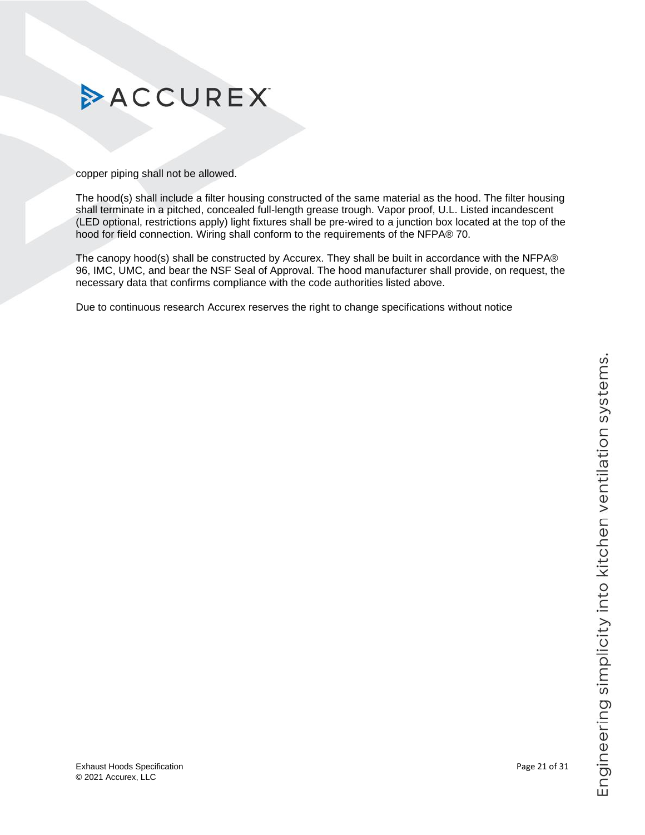

copper piping shall not be allowed.

The hood(s) shall include a filter housing constructed of the same material as the hood. The filter housing shall terminate in a pitched, concealed full-length grease trough. Vapor proof, U.L. Listed incandescent (LED optional, restrictions apply) light fixtures shall be pre-wired to a junction box located at the top of the hood for field connection. Wiring shall conform to the requirements of the NFPA® 70.

The canopy hood(s) shall be constructed by Accurex. They shall be built in accordance with the NFPA® 96, IMC, UMC, and bear the NSF Seal of Approval. The hood manufacturer shall provide, on request, the necessary data that confirms compliance with the code authorities listed above.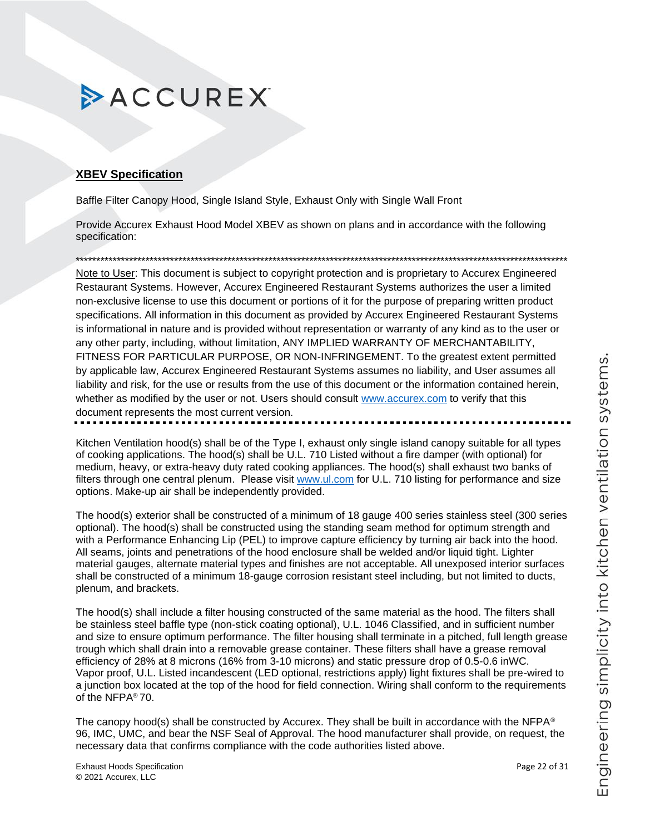### **XBEV Specification**

Baffle Filter Canopy Hood, Single Island Style, Exhaust Only with Single Wall Front

Provide Accurex Exhaust Hood Model XBEV as shown on plans and in accordance with the following specification:

\*\*\*\*\*\*\*\*\*\*\*\*\*\*\*\*\*\*\*\*\*\*\*\*\*\*\*\*\*\*\*\*\*\*\*\*\*\*\*\*\*\*\*\*\*\*\*\*\*\*\*\*\*\*\*\*\*\*\*\*\*\*\*\*\*\*\*\*\*\*\*\*\*\*\*\*\*\*\*\*\*\*\*\*\*\*\*\*\*\*\*\*\*\*\*\*\*\*\*\*\*\*\*\*\*\*\*\*\*\*\*\*\*\*\*\*\*\*\*\*

Note to User: This document is subject to copyright protection and is proprietary to Accurex Engineered Restaurant Systems. However, Accurex Engineered Restaurant Systems authorizes the user a limited non-exclusive license to use this document or portions of it for the purpose of preparing written product specifications. All information in this document as provided by Accurex Engineered Restaurant Systems is informational in nature and is provided without representation or warranty of any kind as to the user or any other party, including, without limitation, ANY IMPLIED WARRANTY OF MERCHANTABILITY, FITNESS FOR PARTICULAR PURPOSE, OR NON-INFRINGEMENT. To the greatest extent permitted by applicable law, Accurex Engineered Restaurant Systems assumes no liability, and User assumes all liability and risk, for the use or results from the use of this document or the information contained herein, whether as modified by the user or not. Users should consult [www.accurex.com](https://www.accurex.com/) to verify that this document represents the most current version.

Kitchen Ventilation hood(s) shall be of the Type I, exhaust only single island canopy suitable for all types of cooking applications. The hood(s) shall be U.L. 710 Listed without a fire damper (with optional) for medium, heavy, or extra-heavy duty rated cooking appliances. The hood(s) shall exhaust two banks of filters through one central plenum. Please visit [www.ul.com](https://www.ul.com/) for U.L. 710 listing for performance and size options. Make-up air shall be independently provided.

The hood(s) exterior shall be constructed of a minimum of 18 gauge 400 series stainless steel (300 series optional). The hood(s) shall be constructed using the standing seam method for optimum strength and with a Performance Enhancing Lip (PEL) to improve capture efficiency by turning air back into the hood. All seams, joints and penetrations of the hood enclosure shall be welded and/or liquid tight. Lighter material gauges, alternate material types and finishes are not acceptable. All unexposed interior surfaces shall be constructed of a minimum 18-gauge corrosion resistant steel including, but not limited to ducts, plenum, and brackets.

The hood(s) shall include a filter housing constructed of the same material as the hood. The filters shall be stainless steel baffle type (non-stick coating optional), U.L. 1046 Classified, and in sufficient number and size to ensure optimum performance. The filter housing shall terminate in a pitched, full length grease trough which shall drain into a removable grease container. These filters shall have a grease removal efficiency of 28% at 8 microns (16% from 3-10 microns) and static pressure drop of 0.5-0.6 inWC. Vapor proof, U.L. Listed incandescent (LED optional, restrictions apply) light fixtures shall be pre-wired to a junction box located at the top of the hood for field connection. Wiring shall conform to the requirements of the NFPA® 70.

The canopy hood(s) shall be constructed by Accurex. They shall be built in accordance with the NFPA® 96, IMC, UMC, and bear the NSF Seal of Approval. The hood manufacturer shall provide, on request, the necessary data that confirms compliance with the code authorities listed above.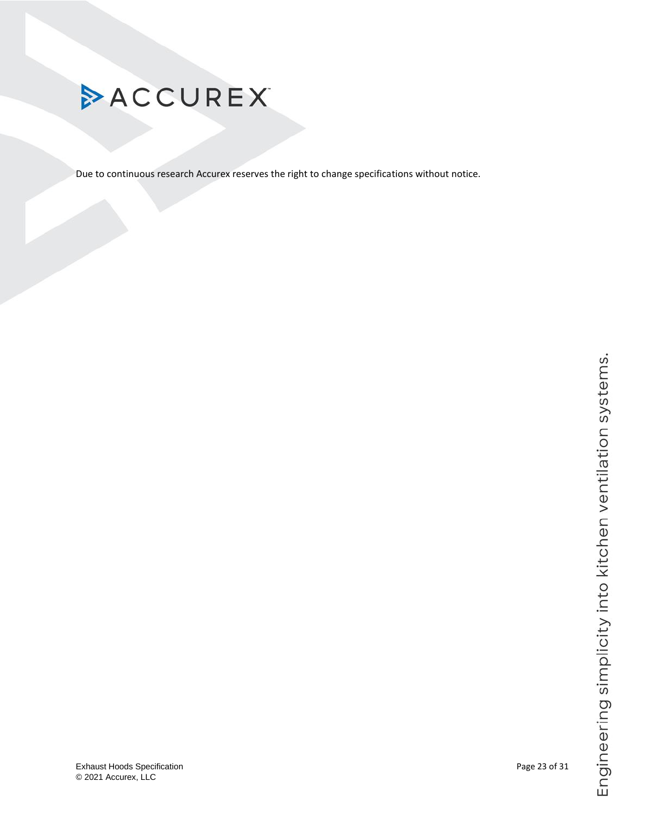<span id="page-22-0"></span>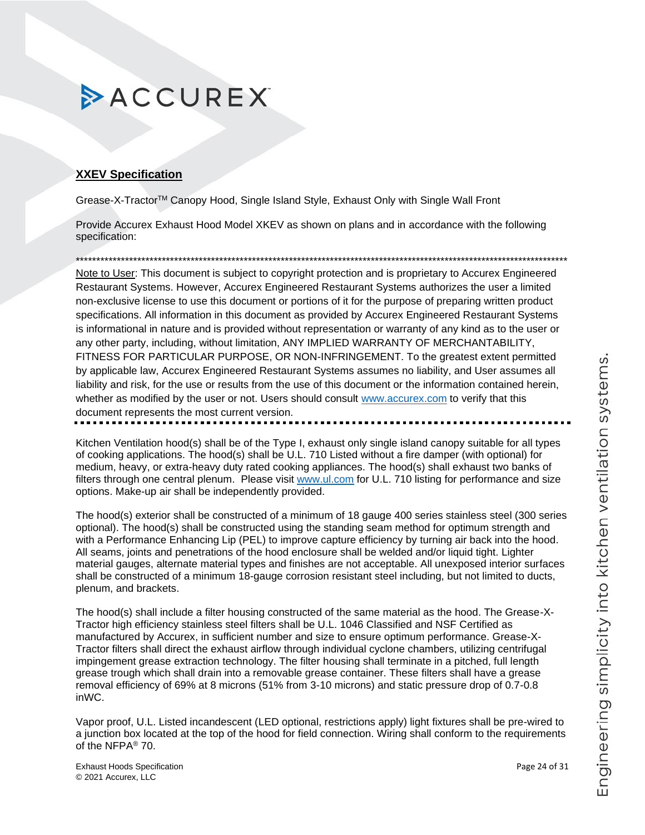### **XXEV Specification**

Grease-X-TractorTM Canopy Hood, Single Island Style, Exhaust Only with Single Wall Front

Provide Accurex Exhaust Hood Model XKEV as shown on plans and in accordance with the following specification:

\*\*\*\*\*\*\*\*\*\*\*\*\*\*\*\*\*\*\*\*\*\*\*\*\*\*\*\*\*\*\*\*\*\*\*\*\*\*\*\*\*\*\*\*\*\*\*\*\*\*\*\*\*\*\*\*\*\*\*\*\*\*\*\*\*\*\*\*\*\*\*\*\*\*\*\*\*\*\*\*\*\*\*\*\*\*\*\*\*\*\*\*\*\*\*\*\*\*\*\*\*\*\*\*\*\*\*\*\*\*\*\*\*\*\*\*\*\*\*\*

Note to User: This document is subject to copyright protection and is proprietary to Accurex Engineered Restaurant Systems. However, Accurex Engineered Restaurant Systems authorizes the user a limited non-exclusive license to use this document or portions of it for the purpose of preparing written product specifications. All information in this document as provided by Accurex Engineered Restaurant Systems is informational in nature and is provided without representation or warranty of any kind as to the user or any other party, including, without limitation, ANY IMPLIED WARRANTY OF MERCHANTABILITY, FITNESS FOR PARTICULAR PURPOSE, OR NON-INFRINGEMENT. To the greatest extent permitted by applicable law, Accurex Engineered Restaurant Systems assumes no liability, and User assumes all liability and risk, for the use or results from the use of this document or the information contained herein, whether as modified by the user or not. Users should consult [www.accurex.com](https://www.accurex.com/) to verify that this document represents the most current version.

Kitchen Ventilation hood(s) shall be of the Type I, exhaust only single island canopy suitable for all types of cooking applications. The hood(s) shall be U.L. 710 Listed without a fire damper (with optional) for medium, heavy, or extra-heavy duty rated cooking appliances. The hood(s) shall exhaust two banks of filters through one central plenum. Please visit [www.ul.com](https://www.ul.com/) for U.L. 710 listing for performance and size options. Make-up air shall be independently provided.

The hood(s) exterior shall be constructed of a minimum of 18 gauge 400 series stainless steel (300 series optional). The hood(s) shall be constructed using the standing seam method for optimum strength and with a Performance Enhancing Lip (PEL) to improve capture efficiency by turning air back into the hood. All seams, joints and penetrations of the hood enclosure shall be welded and/or liquid tight. Lighter material gauges, alternate material types and finishes are not acceptable. All unexposed interior surfaces shall be constructed of a minimum 18-gauge corrosion resistant steel including, but not limited to ducts, plenum, and brackets.

The hood(s) shall include a filter housing constructed of the same material as the hood. The Grease-X-Tractor high efficiency stainless steel filters shall be U.L. 1046 Classified and NSF Certified as manufactured by Accurex, in sufficient number and size to ensure optimum performance. Grease-X-Tractor filters shall direct the exhaust airflow through individual cyclone chambers, utilizing centrifugal impingement grease extraction technology. The filter housing shall terminate in a pitched, full length grease trough which shall drain into a removable grease container. These filters shall have a grease removal efficiency of 69% at 8 microns (51% from 3-10 microns) and static pressure drop of 0.7-0.8 inWC.

Vapor proof, U.L. Listed incandescent (LED optional, restrictions apply) light fixtures shall be pre-wired to a junction box located at the top of the hood for field connection. Wiring shall conform to the requirements of the NFPA® 70.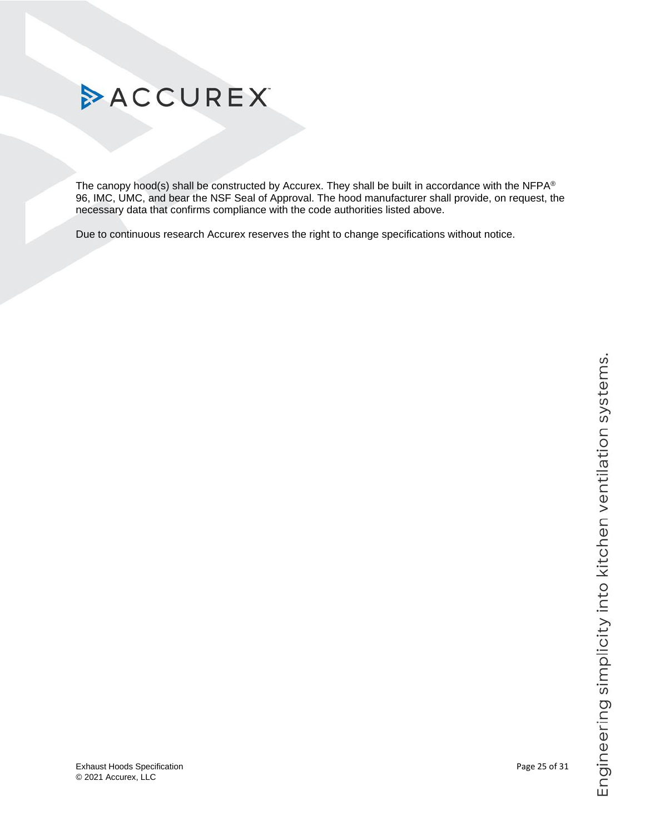

The canopy hood(s) shall be constructed by Accurex. They shall be built in accordance with the NFPA® 96, IMC, UMC, and bear the NSF Seal of Approval. The hood manufacturer shall provide, on request, the

Due to continuous research Accurex reserves the right to change specifications without notice.

necessary data that confirms compliance with the code authorities listed above.

# **ACCUREX**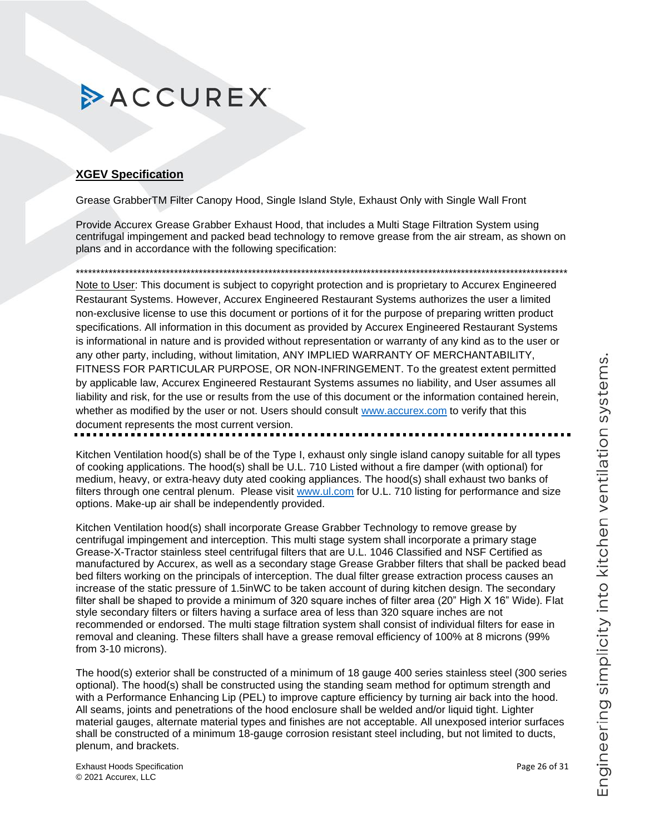### <span id="page-25-0"></span>**XGEV Specification**

Grease GrabberTM Filter Canopy Hood, Single Island Style, Exhaust Only with Single Wall Front

Provide Accurex Grease Grabber Exhaust Hood, that includes a Multi Stage Filtration System using centrifugal impingement and packed bead technology to remove grease from the air stream, as shown on plans and in accordance with the following specification:

Note to User: This document is subject to copyright protection and is proprietary to Accurex Engineered Restaurant Systems. However, Accurex Engineered Restaurant Systems authorizes the user a limited non-exclusive license to use this document or portions of it for the purpose of preparing written product specifications. All information in this document as provided by Accurex Engineered Restaurant Systems is informational in nature and is provided without representation or warranty of any kind as to the user or any other party, including, without limitation, ANY IMPLIED WARRANTY OF MERCHANTABILITY, FITNESS FOR PARTICULAR PURPOSE, OR NON-INFRINGEMENT. To the greatest extent permitted by applicable law, Accurex Engineered Restaurant Systems assumes no liability, and User assumes all liability and risk, for the use or results from the use of this document or the information contained herein, whether as modified by the user or not. Users should consult www.accurex.com to verify that this document represents the most current version.

Kitchen Ventilation hood(s) shall be of the Type I, exhaust only single island canopy suitable for all types of cooking applications. The hood(s) shall be U.L. 710 Listed without a fire damper (with optional) for medium, heavy, or extra-heavy duty ated cooking appliances. The hood(s) shall exhaust two banks of filters through one central plenum. Please visit www.ul.com for U.L. 710 listing for performance and size options. Make-up air shall be independently provided.

Kitchen Ventilation hood(s) shall incorporate Grease Grabber Technology to remove grease by centrifugal impingement and interception. This multi stage system shall incorporate a primary stage Grease-X-Tractor stainless steel centrifugal filters that are U.L. 1046 Classified and NSF Certified as manufactured by Accurex, as well as a secondary stage Grease Grabber filters that shall be packed bead bed filters working on the principals of interception. The dual filter grease extraction process causes an increase of the static pressure of 1.5inWC to be taken account of during kitchen design. The secondary filter shall be shaped to provide a minimum of 320 square inches of filter area (20" High X 16" Wide). Flat style secondary filters or filters having a surface area of less than 320 square inches are not recommended or endorsed. The multi stage filtration system shall consist of individual filters for ease in removal and cleaning. These filters shall have a grease removal efficiency of 100% at 8 microns (99%) from 3-10 microns).

The hood(s) exterior shall be constructed of a minimum of 18 gauge 400 series stainless steel (300 series optional). The hood(s) shall be constructed using the standing seam method for optimum strength and with a Performance Enhancing Lip (PEL) to improve capture efficiency by turning air back into the hood. All seams, joints and penetrations of the hood enclosure shall be welded and/or liquid tight. Lighter material gauges, alternate material types and finishes are not acceptable. All unexposed interior surfaces shall be constructed of a minimum 18-gauge corrosion resistant steel including, but not limited to ducts, plenum, and brackets.

**Exhaust Hoods Specification** © 2021 Accurex, LLC

Page 26 of 31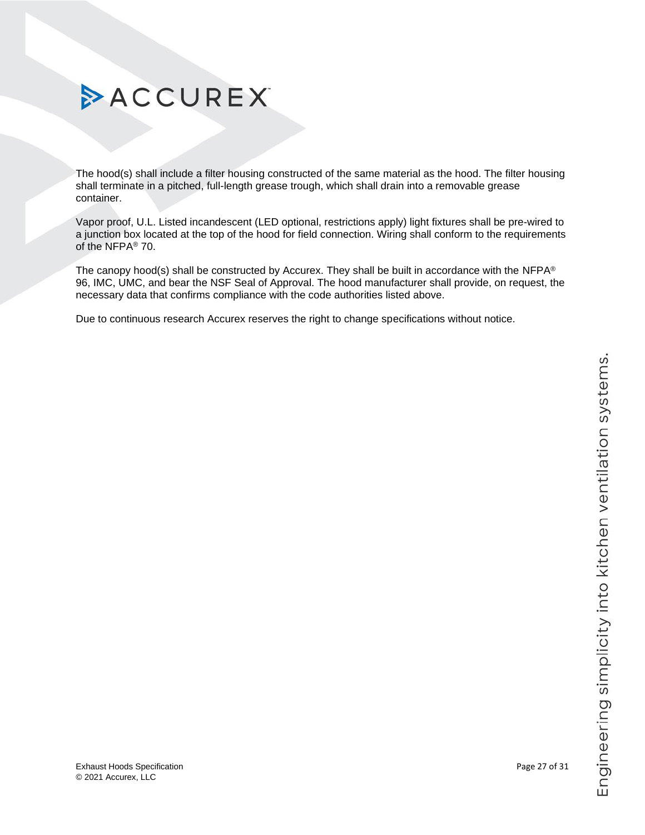# Engineering simplicity into kitchen ventilation systems.

# ACCUREX

The hood(s) shall include a filter housing constructed of the same material as the hood. The filter housing shall terminate in a pitched, full-length grease trough, which shall drain into a removable grease container.

Vapor proof, U.L. Listed incandescent (LED optional, restrictions apply) light fixtures shall be pre-wired to a junction box located at the top of the hood for field connection. Wiring shall conform to the requirements of the NFPA® 70.

<span id="page-26-0"></span>The canopy hood(s) shall be constructed by Accurex. They shall be built in accordance with the NFPA® 96, IMC, UMC, and bear the NSF Seal of Approval. The hood manufacturer shall provide, on request, the necessary data that confirms compliance with the code authorities listed above.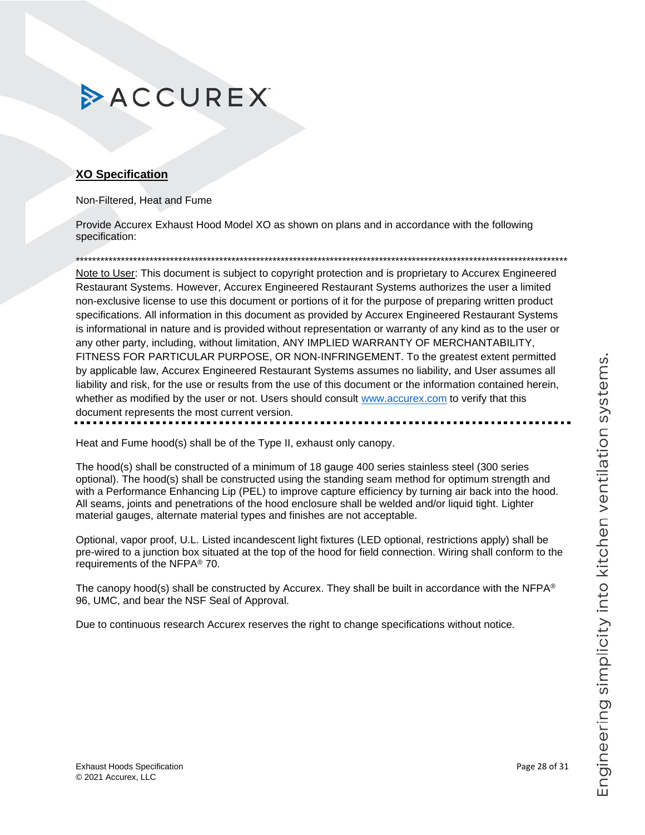### **XO Specification**

Non-Filtered, Heat and Fume

Provide Accurex Exhaust Hood Model XO as shown on plans and in accordance with the following specification:

\*\*\*\*\*\*\*\*\*\*\*\*\*\*\*\*\*\*\*\*\*\*\*\*\*\*\*\*\*\*\*\*\*\*\*\*\*\*\*\*\*\*\*\*\*\*\*\*\*\*\*\*\*\*\*\*\*\*\*\*\*\*\*\*\*\*\*\*\*\*\*\*\*\*\*\*\*\*\*\*\*\*\*\*\*\*\*\*\*\*\*\*\*\*\*\*\*\*\*\*\*\*\*\*\*\*\*\*\*\*\*\*\*\*\*\*\*\*\*\*

Note to User: This document is subject to copyright protection and is proprietary to Accurex Engineered Restaurant Systems. However, Accurex Engineered Restaurant Systems authorizes the user a limited non-exclusive license to use this document or portions of it for the purpose of preparing written product specifications. All information in this document as provided by Accurex Engineered Restaurant Systems is informational in nature and is provided without representation or warranty of any kind as to the user or any other party, including, without limitation, ANY IMPLIED WARRANTY OF MERCHANTABILITY, FITNESS FOR PARTICULAR PURPOSE, OR NON-INFRINGEMENT. To the greatest extent permitted by applicable law, Accurex Engineered Restaurant Systems assumes no liability, and User assumes all liability and risk, for the use or results from the use of this document or the information contained herein, whether as modified by the user or not. Users should consult [www.accurex.com](https://www.accurex.com/) to verify that this document represents the most current version.

Heat and Fume hood(s) shall be of the Type II, exhaust only canopy.

The hood(s) shall be constructed of a minimum of 18 gauge 400 series stainless steel (300 series optional). The hood(s) shall be constructed using the standing seam method for optimum strength and with a Performance Enhancing Lip (PEL) to improve capture efficiency by turning air back into the hood. All seams, joints and penetrations of the hood enclosure shall be welded and/or liquid tight. Lighter material gauges, alternate material types and finishes are not acceptable.

Optional, vapor proof, U.L. Listed incandescent light fixtures (LED optional, restrictions apply) shall be pre-wired to a junction box situated at the top of the hood for field connection. Wiring shall conform to the requirements of the NFPA® 70.

The canopy hood(s) shall be constructed by Accurex. They shall be built in accordance with the NFPA<sup>®</sup> 96, UMC, and bear the NSF Seal of Approval.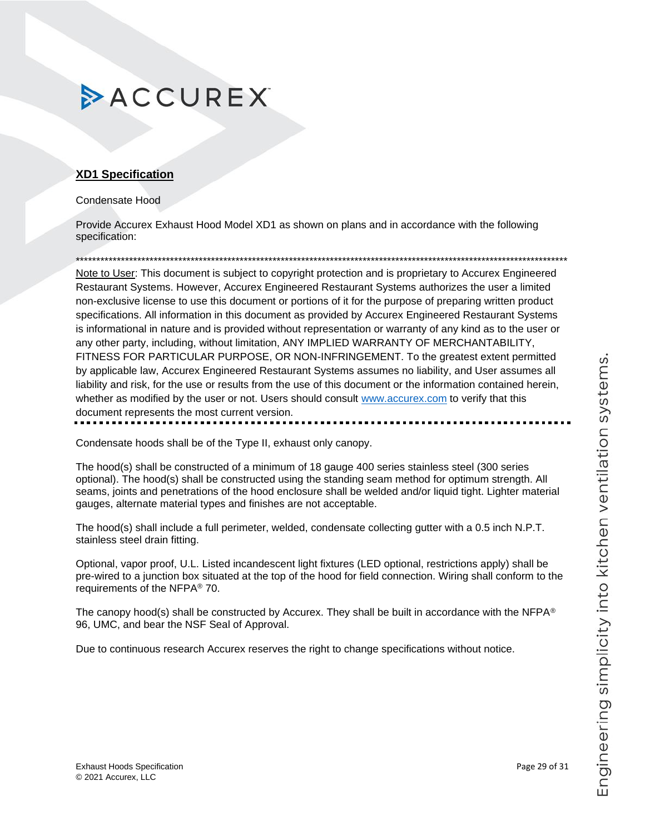### <span id="page-28-0"></span>**XD1 Specification**

### Condensate Hood

Provide Accurex Exhaust Hood Model XD1 as shown on plans and in accordance with the following specification:

\*\*\*\*\*\*\*\*\*\*\*\*\*\*\*\*\*\*\*\*\*\*\*\*\*\*\*\*\*\*\*\*\*\*\*\*\*\*\*\*\*\*\*\*\*\*\*\*\*\*\*\*\*\*\*\*\*\*\*\*\*\*\*\*\*\*\*\*\*\*\*\*\*\*\*\*\*\*\*\*\*\*\*\*\*\*\*\*\*\*\*\*\*\*\*\*\*\*\*\*\*\*\*\*\*\*\*\*\*\*\*\*\*\*\*\*\*\*\*\*

Note to User: This document is subject to copyright protection and is proprietary to Accurex Engineered Restaurant Systems. However, Accurex Engineered Restaurant Systems authorizes the user a limited non-exclusive license to use this document or portions of it for the purpose of preparing written product specifications. All information in this document as provided by Accurex Engineered Restaurant Systems is informational in nature and is provided without representation or warranty of any kind as to the user or any other party, including, without limitation, ANY IMPLIED WARRANTY OF MERCHANTABILITY, FITNESS FOR PARTICULAR PURPOSE, OR NON-INFRINGEMENT. To the greatest extent permitted by applicable law, Accurex Engineered Restaurant Systems assumes no liability, and User assumes all liability and risk, for the use or results from the use of this document or the information contained herein, whether as modified by the user or not. Users should consult [www.accurex.com](https://www.accurex.com/) to verify that this document represents the most current version.

Condensate hoods shall be of the Type II, exhaust only canopy.

The hood(s) shall be constructed of a minimum of 18 gauge 400 series stainless steel (300 series optional). The hood(s) shall be constructed using the standing seam method for optimum strength. All seams, joints and penetrations of the hood enclosure shall be welded and/or liquid tight. Lighter material gauges, alternate material types and finishes are not acceptable.

The hood(s) shall include a full perimeter, welded, condensate collecting gutter with a 0.5 inch N.P.T. stainless steel drain fitting.

Optional, vapor proof, U.L. Listed incandescent light fixtures (LED optional, restrictions apply) shall be pre-wired to a junction box situated at the top of the hood for field connection. Wiring shall conform to the requirements of the NFPA® 70.

The canopy hood(s) shall be constructed by Accurex. They shall be built in accordance with the NFPA<sup>®</sup> 96, UMC, and bear the NSF Seal of Approval.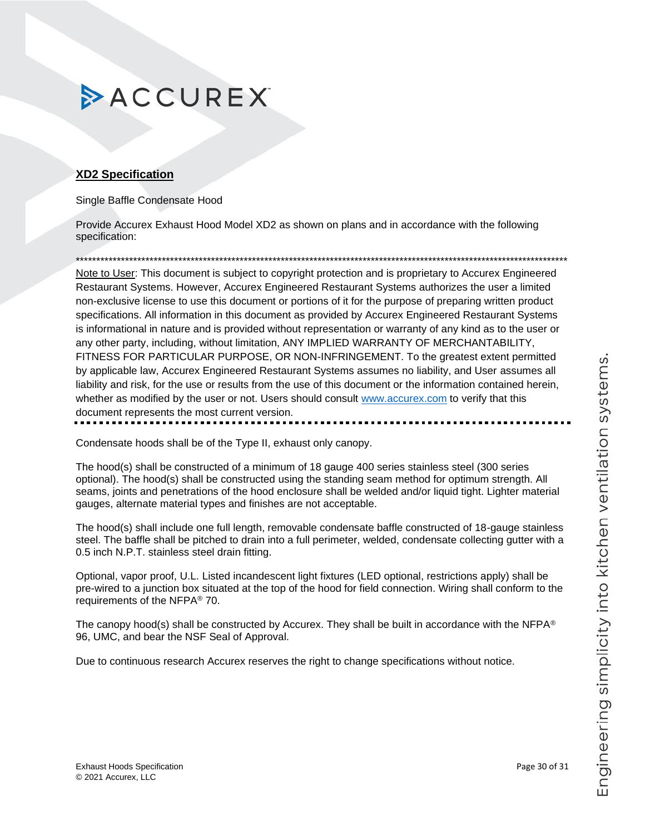### <span id="page-29-0"></span>**XD2 Specification**

Single Baffle Condensate Hood

Provide Accurex Exhaust Hood Model XD2 as shown on plans and in accordance with the following specification:

\*\*\*\*\*\*\*\*\*\*\*\*\*\*\*\*\*\*\*\*\*\*\*\*\*\*\*\*\*\*\*\*\*\*\*\*\*\*\*\*\*\*\*\*\*\*\*\*\*\*\*\*\*\*\*\*\*\*\*\*\*\*\*\*\*\*\*\*\*\*\*\*\*\*\*\*\*\*\*\*\*\*\*\*\*\*\*\*\*\*\*\*\*\*\*\*\*\*\*\*\*\*\*\*\*\*\*\*\*\*\*\*\*\*\*\*\*\*\*\*

Note to User: This document is subject to copyright protection and is proprietary to Accurex Engineered Restaurant Systems. However, Accurex Engineered Restaurant Systems authorizes the user a limited non-exclusive license to use this document or portions of it for the purpose of preparing written product specifications. All information in this document as provided by Accurex Engineered Restaurant Systems is informational in nature and is provided without representation or warranty of any kind as to the user or any other party, including, without limitation, ANY IMPLIED WARRANTY OF MERCHANTABILITY, FITNESS FOR PARTICULAR PURPOSE, OR NON-INFRINGEMENT. To the greatest extent permitted by applicable law, Accurex Engineered Restaurant Systems assumes no liability, and User assumes all liability and risk, for the use or results from the use of this document or the information contained herein, whether as modified by the user or not. Users should consult [www.accurex.com](https://www.accurex.com/) to verify that this document represents the most current version.

Condensate hoods shall be of the Type II, exhaust only canopy.

The hood(s) shall be constructed of a minimum of 18 gauge 400 series stainless steel (300 series optional). The hood(s) shall be constructed using the standing seam method for optimum strength. All seams, joints and penetrations of the hood enclosure shall be welded and/or liquid tight. Lighter material gauges, alternate material types and finishes are not acceptable.

The hood(s) shall include one full length, removable condensate baffle constructed of 18-gauge stainless steel. The baffle shall be pitched to drain into a full perimeter, welded, condensate collecting gutter with a 0.5 inch N.P.T. stainless steel drain fitting.

Optional, vapor proof, U.L. Listed incandescent light fixtures (LED optional, restrictions apply) shall be pre-wired to a junction box situated at the top of the hood for field connection. Wiring shall conform to the requirements of the NFPA® 70.

The canopy hood(s) shall be constructed by Accurex. They shall be built in accordance with the NFPA® 96, UMC, and bear the NSF Seal of Approval.